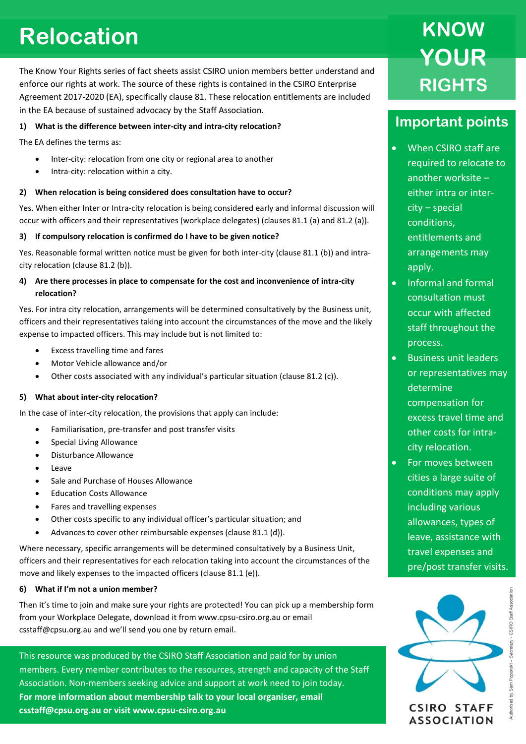# **Relocation**

The Know Your Rights series of fact sheets assist CSIRO union members better understand and enforce our rights at work. The source of these rights is contained in the CSIRO Enterprise Agreement 2017-2020 (EA), specifically clause 81. These relocation entitlements are included in the EA because of sustained advocacy by the Staff Association.

### **1) What is the difference between inter-city and intra-city relocation?**

The EA defines the terms as:

- Inter-city: relocation from one city or regional area to another
- Intra-city: relocation within a city.

### **2) When relocation is being considered does consultation have to occur?**

Yes. When either Inter or Intra-city relocation is being considered early and informal discussion will occur with officers and their representatives (workplace delegates) (clauses 81.1 (a) and 81.2 (a)).

### **3) If compulsory relocation is confirmed do I have to be given notice?**

Yes. Reasonable formal written notice must be given for both inter-city (clause 81.1 (b)) and intracity relocation (clause 81.2 (b)).

## **4) Are there processes in place to compensate for the cost and inconvenience of intra-city relocation?**

Yes. For intra city relocation, arrangements will be determined consultatively by the Business unit, officers and their representatives taking into account the circumstances of the move and the likely expense to impacted officers. This may include but is not limited to:

- Excess travelling time and fares
- Motor Vehicle allowance and/or
- Other costs associated with any individual's particular situation (clause 81.2 (c)).

### **5) What about inter-city relocation?**

In the case of inter-city relocation, the provisions that apply can include:

- Familiarisation, pre-transfer and post transfer visits
- Special Living Allowance
- Disturbance Allowance
- Leave
- Sale and Purchase of Houses Allowance
- Education Costs Allowance
- Fares and travelling expenses
- Other costs specific to any individual officer's particular situation; and
- Advances to cover other reimbursable expenses (clause 81.1 (d)).

Where necessary, specific arrangements will be determined consultatively by a Business Unit, officers and their representatives for each relocation taking into account the circumstances of the move and likely expenses to the impacted officers (clause 81.1 (e)).

### **6) What if I'm not a union member?**

Then it's time to join and make sure your rights are protected! You can pick up a membership form from your Workplace Delegate, download it from www.cpsu-csiro.org.au or email csstaff@cpsu.org.au and we'll send you one by return email.

This resource was produced by the CSIRO Staff Association and paid for by union members. Every member contributes to the resources, strength and capacity of the Staff Association. Non-members seeking advice and support at work need to join today. **For more information about membership talk to your local organiser, email csstaff@cpsu.org.au or visit www.cpsu-csiro.org.au**

# **KNOW YOUR RIGHTS**

# **Important points**

- When CSIRO staff are required to relocate to another worksite – either intra or intercity – special conditions, entitlements and arrangements may apply.
- Informal and formal consultation must occur with affected staff throughout the process.
- Business unit leaders or representatives may determine compensation for excess travel time and other costs for intracity relocation.
- For moves between cities a large suite of conditions may apply including various allowances, types of leave, assistance with travel expenses and pre/post transfer visits.